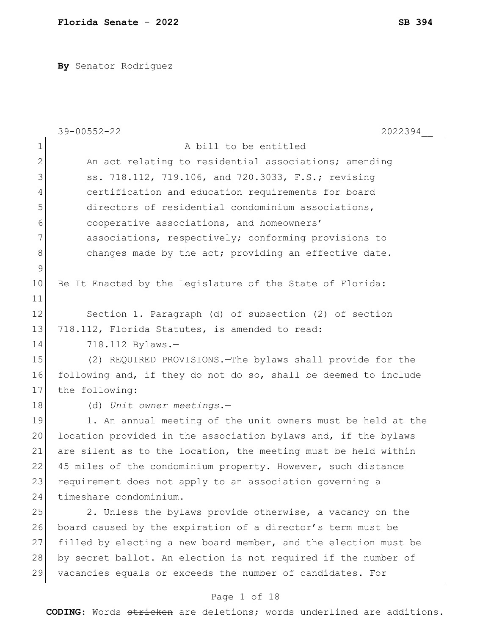**By** Senator Rodriguez

|               | $39 - 00552 - 22$<br>2022394                                    |
|---------------|-----------------------------------------------------------------|
| $\mathbf 1$   | A bill to be entitled                                           |
| $\mathbf{2}$  | An act relating to residential associations; amending           |
| 3             | ss. 718.112, 719.106, and 720.3033, F.S.; revising              |
| 4             | certification and education requirements for board              |
| 5             | directors of residential condominium associations,              |
| 6             | cooperative associations, and homeowners'                       |
| 7             | associations, respectively; conforming provisions to            |
| 8             | changes made by the act; providing an effective date.           |
| $\mathcal{G}$ |                                                                 |
| 10            | Be It Enacted by the Legislature of the State of Florida:       |
| 11            |                                                                 |
| 12            | Section 1. Paragraph (d) of subsection (2) of section           |
| 13            | 718.112, Florida Statutes, is amended to read:                  |
| 14            | 718.112 Bylaws.-                                                |
| 15            | (2) REQUIRED PROVISIONS. - The bylaws shall provide for the     |
| 16            | following and, if they do not do so, shall be deemed to include |
| 17            | the following:                                                  |
| 18            | (d) Unit owner meetings.-                                       |
| 19            | 1. An annual meeting of the unit owners must be held at the     |
| 20            | location provided in the association bylaws and, if the bylaws  |
| 21            | are silent as to the location, the meeting must be held within  |
| 22            | 45 miles of the condominium property. However, such distance    |
| 23            | requirement does not apply to an association governing a        |
| 24            | timeshare condominium.                                          |
| 25            | 2. Unless the bylaws provide otherwise, a vacancy on the        |
| 26            | board caused by the expiration of a director's term must be     |
| 27            | filled by electing a new board member, and the election must be |
| 28            | by secret ballot. An election is not required if the number of  |
| 29            | vacancies equals or exceeds the number of candidates. For       |
|               |                                                                 |

# Page 1 of 18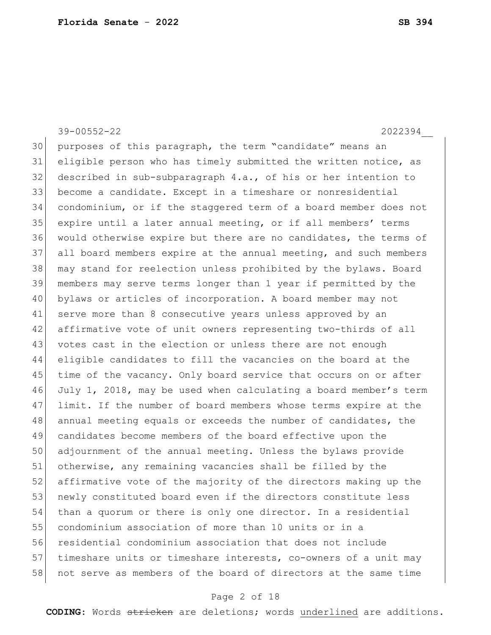39-00552-22 2022394\_\_

 purposes of this paragraph, the term "candidate" means an eligible person who has timely submitted the written notice, as 32 described in sub-subparagraph  $4.a.,$  of his or her intention to become a candidate. Except in a timeshare or nonresidential condominium, or if the staggered term of a board member does not expire until a later annual meeting, or if all members' terms would otherwise expire but there are no candidates, the terms of all board members expire at the annual meeting, and such members may stand for reelection unless prohibited by the bylaws. Board members may serve terms longer than 1 year if permitted by the bylaws or articles of incorporation. A board member may not serve more than 8 consecutive years unless approved by an 42 affirmative vote of unit owners representing two-thirds of all 43 votes cast in the election or unless there are not enough eligible candidates to fill the vacancies on the board at the time of the vacancy. Only board service that occurs on or after July 1, 2018, may be used when calculating a board member's term limit. If the number of board members whose terms expire at the 48 annual meeting equals or exceeds the number of candidates, the candidates become members of the board effective upon the adjournment of the annual meeting. Unless the bylaws provide otherwise, any remaining vacancies shall be filled by the affirmative vote of the majority of the directors making up the 53 newly constituted board even if the directors constitute less than a quorum or there is only one director. In a residential condominium association of more than 10 units or in a residential condominium association that does not include 57 timeshare units or timeshare interests, co-owners of a unit may not serve as members of the board of directors at the same time

### Page 2 of 18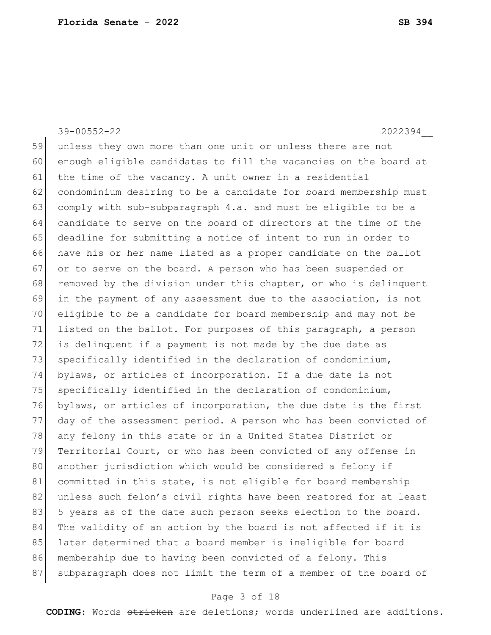39-00552-22 2022394\_\_

59 unless they own more than one unit or unless there are not 60 enough eligible candidates to fill the vacancies on the board at 61 the time of the vacancy. A unit owner in a residential 62 condominium desiring to be a candidate for board membership must 63 comply with sub-subparagraph 4.a. and must be eligible to be a 64 candidate to serve on the board of directors at the time of the 65 deadline for submitting a notice of intent to run in order to 66 have his or her name listed as a proper candidate on the ballot 67 or to serve on the board. A person who has been suspended or 68 removed by the division under this chapter, or who is delinquent 69 in the payment of any assessment due to the association, is not 70 eligible to be a candidate for board membership and may not be 71 listed on the ballot. For purposes of this paragraph, a person 72 is delinquent if a payment is not made by the due date as 73 specifically identified in the declaration of condominium, 74 bylaws, or articles of incorporation. If a due date is not  $75$  specifically identified in the declaration of condominium, 76 bylaws, or articles of incorporation, the due date is the first 77 day of the assessment period. A person who has been convicted of 78 any felony in this state or in a United States District or 79 Territorial Court, or who has been convicted of any offense in 80 another jurisdiction which would be considered a felony if 81 committed in this state, is not eligible for board membership 82 unless such felon's civil rights have been restored for at least 83 5 years as of the date such person seeks election to the board. 84 The validity of an action by the board is not affected if it is 85 later determined that a board member is ineligible for board 86 membership due to having been convicted of a felony. This 87 subparagraph does not limit the term of a member of the board of

#### Page 3 of 18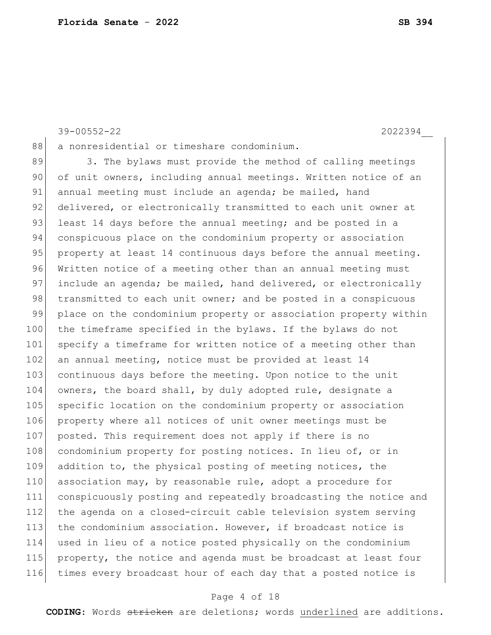89 3. The bylaws must provide the method of calling meetings 90 of unit owners, including annual meetings. Written notice of an 91 annual meeting must include an agenda; be mailed, hand 92 delivered, or electronically transmitted to each unit owner at 93 least 14 days before the annual meeting; and be posted in a 94 conspicuous place on the condominium property or association 95 property at least 14 continuous days before the annual meeting. 96 Written notice of a meeting other than an annual meeting must 97 include an agenda; be mailed, hand delivered, or electronically 98 transmitted to each unit owner; and be posted in a conspicuous 99 place on the condominium property or association property within 100 the timeframe specified in the bylaws. If the bylaws do not 101 specify a timeframe for written notice of a meeting other than 102 an annual meeting, notice must be provided at least 14 103 continuous days before the meeting. Upon notice to the unit 104 owners, the board shall, by duly adopted rule, designate a 105 specific location on the condominium property or association 106 property where all notices of unit owner meetings must be 107 posted. This requirement does not apply if there is no 108 condominium property for posting notices. In lieu of, or in 109 addition to, the physical posting of meeting notices, the 110 association may, by reasonable rule, adopt a procedure for 111 conspicuously posting and repeatedly broadcasting the notice and 112 the agenda on a closed-circuit cable television system serving 113 the condominium association. However, if broadcast notice is 114 used in lieu of a notice posted physically on the condominium

115 property, the notice and agenda must be broadcast at least four 116 times every broadcast hour of each day that a posted notice is

#### Page 4 of 18

**CODING**: Words stricken are deletions; words underlined are additions.

39-00552-22 2022394\_\_

**Florida Senate** - **2022 SB 394**

88 a nonresidential or timeshare condominium.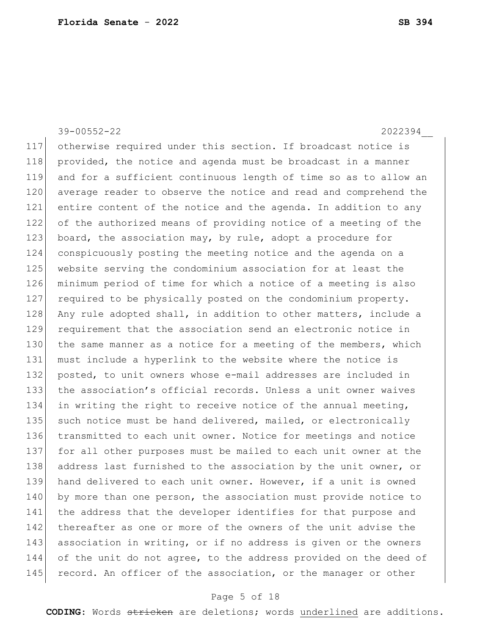### 39-00552-22 2022394

117 otherwise required under this section. If broadcast notice is 118 provided, the notice and agenda must be broadcast in a manner 119 and for a sufficient continuous length of time so as to allow an 120 average reader to observe the notice and read and comprehend the 121 entire content of the notice and the agenda. In addition to any 122 of the authorized means of providing notice of a meeting of the 123 board, the association may, by rule, adopt a procedure for 124 conspicuously posting the meeting notice and the agenda on a 125 website serving the condominium association for at least the 126 minimum period of time for which a notice of a meeting is also 127 required to be physically posted on the condominium property. 128 Any rule adopted shall, in addition to other matters, include a 129 requirement that the association send an electronic notice in 130 the same manner as a notice for a meeting of the members, which 131 must include a hyperlink to the website where the notice is 132 posted, to unit owners whose e-mail addresses are included in 133 the association's official records. Unless a unit owner waives 134 in writing the right to receive notice of the annual meeting, 135 such notice must be hand delivered, mailed, or electronically 136 transmitted to each unit owner. Notice for meetings and notice 137 for all other purposes must be mailed to each unit owner at the 138 address last furnished to the association by the unit owner, or 139 hand delivered to each unit owner. However, if a unit is owned 140 by more than one person, the association must provide notice to 141 the address that the developer identifies for that purpose and 142 thereafter as one or more of the owners of the unit advise the 143 association in writing, or if no address is given or the owners 144 of the unit do not agree, to the address provided on the deed of 145 record. An officer of the association, or the manager or other

### Page 5 of 18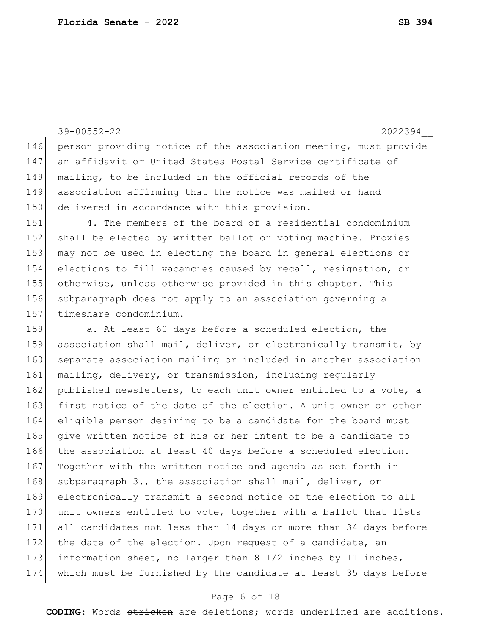39-00552-22 2022394\_\_ 146 person providing notice of the association meeting, must provide 147 an affidavit or United States Postal Service certificate of 148 | mailing, to be included in the official records of the 149 association affirming that the notice was mailed or hand 150 delivered in accordance with this provision. 151 4. The members of the board of a residential condominium 152 shall be elected by written ballot or voting machine. Proxies 153 may not be used in electing the board in general elections or 154 elections to fill vacancies caused by recall, resignation, or 155 otherwise, unless otherwise provided in this chapter. This 156 subparagraph does not apply to an association governing a 157 timeshare condominium. 158 a. At least 60 days before a scheduled election, the 159 association shall mail, deliver, or electronically transmit, by 160 separate association mailing or included in another association 161 mailing, delivery, or transmission, including regularly 162 published newsletters, to each unit owner entitled to a vote, a 163 first notice of the date of the election. A unit owner or other 164 eligible person desiring to be a candidate for the board must 165 give written notice of his or her intent to be a candidate to 166 the association at least 40 days before a scheduled election. 167 Together with the written notice and agenda as set forth in 168 subparagraph 3., the association shall mail, deliver, or 169 electronically transmit a second notice of the election to all 170 unit owners entitled to vote, together with a ballot that lists 171 all candidates not less than 14 days or more than 34 days before 172 the date of the election. Upon request of a candidate, an 173 information sheet, no larger than 8 1/2 inches by 11 inches, 174 which must be furnished by the candidate at least 35 days before

#### Page 6 of 18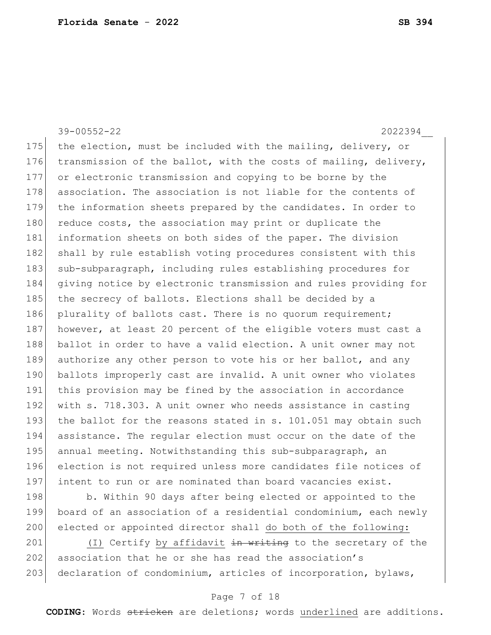39-00552-22 2022394\_\_ 175 the election, must be included with the mailing, delivery, or 176 transmission of the ballot, with the costs of mailing, delivery, 177 or electronic transmission and copying to be borne by the 178 association. The association is not liable for the contents of 179 the information sheets prepared by the candidates. In order to 180 reduce costs, the association may print or duplicate the 181 information sheets on both sides of the paper. The division 182 shall by rule establish voting procedures consistent with this 183 sub-subparagraph, including rules establishing procedures for 184 giving notice by electronic transmission and rules providing for 185 the secrecy of ballots. Elections shall be decided by a 186 plurality of ballots cast. There is no quorum requirement; 187 however, at least 20 percent of the eligible voters must cast a 188 ballot in order to have a valid election. A unit owner may not 189 authorize any other person to vote his or her ballot, and any 190 ballots improperly cast are invalid. A unit owner who violates 191 this provision may be fined by the association in accordance 192 with s. 718.303. A unit owner who needs assistance in casting 193 the ballot for the reasons stated in s. 101.051 may obtain such 194 assistance. The regular election must occur on the date of the 195 annual meeting. Notwithstanding this sub-subparagraph, an 196 election is not required unless more candidates file notices of 197 intent to run or are nominated than board vacancies exist. 198 b. Within 90 days after being elected or appointed to the 199 board of an association of a residential condominium, each newly

200 elected or appointed director shall do both of the following: 201  $(1)$  Certify by affidavit  $\frac{1}{2}$  and  $\frac{1}{2}$  writing to the secretary of the

202 association that he or she has read the association's 203 declaration of condominium, articles of incorporation, bylaws,

### Page 7 of 18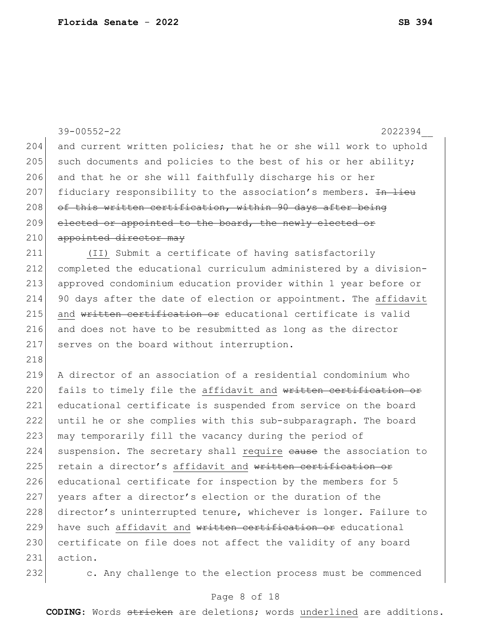|     | $39 - 00552 - 22$<br>2022394                                     |
|-----|------------------------------------------------------------------|
| 204 | and current written policies; that he or she will work to uphold |
| 205 | such documents and policies to the best of his or her ability;   |
| 206 | and that he or she will faithfully discharge his or her          |
| 207 | fiduciary responsibility to the association's members. In lieu   |
| 208 | of this written certification, within 90 days after being        |
| 209 | elected or appointed to the board, the newly elected or          |
| 210 | appointed director may                                           |
| 211 | (II) Submit a certificate of having satisfactorily               |
| 212 | completed the educational curriculum administered by a division- |
| 213 | approved condominium education provider within 1 year before or  |
| 214 | 90 days after the date of election or appointment. The affidavit |
| 215 | and written certification or educational certificate is valid    |
| 216 | and does not have to be resubmitted as long as the director      |
| 217 | serves on the board without interruption.                        |
| 218 |                                                                  |
| 219 | A director of an association of a residential condominium who    |
| 220 | fails to timely file the affidavit and written certification or  |
| 221 | educational certificate is suspended from service on the board   |
| 222 | until he or she complies with this sub-subparagraph. The board   |
| 223 | may temporarily fill the vacancy during the period of            |
| 224 | suspension. The secretary shall require eause the association to |
| 225 | retain a director's affidavit and written certification or       |
| 226 | educational certificate for inspection by the members for 5      |
| 227 | years after a director's election or the duration of the         |
| 228 | director's uninterrupted tenure, whichever is longer. Failure to |
| 229 | have such affidavit and written certification or educational     |
| 230 | certificate on file does not affect the validity of any board    |
| 231 | action.                                                          |
|     |                                                                  |

232 c. Any challenge to the election process must be commenced

## Page 8 of 18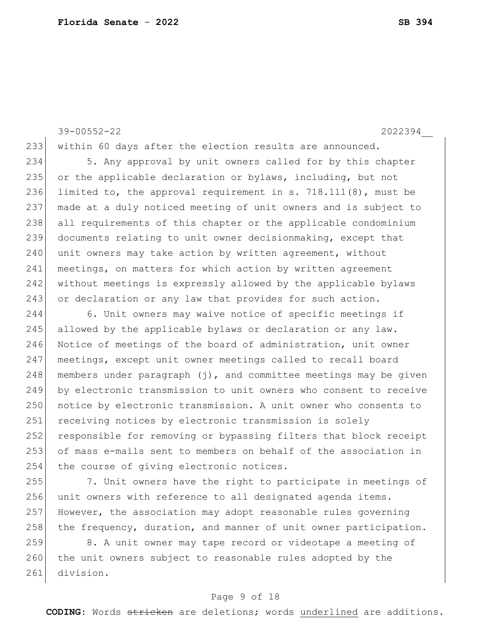39-00552-22 2022394\_\_

234 5. Any approval by unit owners called for by this chapter 235 or the applicable declaration or bylaws, including, but not 236 limited to, the approval requirement in s. 718.111(8), must be 237 made at a duly noticed meeting of unit owners and is subject to 238 all requirements of this chapter or the applicable condominium 239 documents relating to unit owner decisionmaking, except that 240 unit owners may take action by written agreement, without 241 meetings, on matters for which action by written agreement 242 without meetings is expressly allowed by the applicable bylaws 243 or declaration or any law that provides for such action.

233 within 60 days after the election results are announced.

244 6. Unit owners may waive notice of specific meetings if 245 allowed by the applicable bylaws or declaration or any law. 246 Notice of meetings of the board of administration, unit owner 247 meetings, except unit owner meetings called to recall board 248 | members under paragraph  $(j)$ , and committee meetings may be given 249 by electronic transmission to unit owners who consent to receive 250 notice by electronic transmission. A unit owner who consents to 251 receiving notices by electronic transmission is solely 252 responsible for removing or bypassing filters that block receipt 253 of mass e-mails sent to members on behalf of the association in 254 the course of giving electronic notices.

255 7. Unit owners have the right to participate in meetings of 256 unit owners with reference to all designated agenda items. 257 However, the association may adopt reasonable rules governing 258 the frequency, duration, and manner of unit owner participation.

259 8. A unit owner may tape record or videotape a meeting of 260 the unit owners subject to reasonable rules adopted by the 261 division.

### Page 9 of 18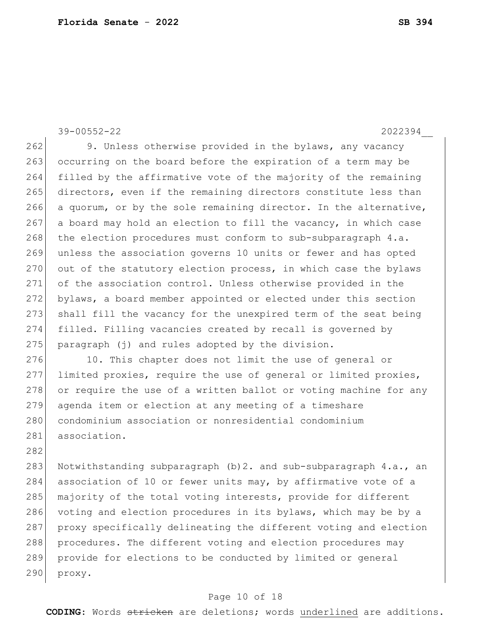39-00552-22 2022394

282

262 9. Unless otherwise provided in the bylaws, any vacancy 263 occurring on the board before the expiration of a term may be filled by the affirmative vote of the majority of the remaining directors, even if the remaining directors constitute less than 266 a quorum, or by the sole remaining director. In the alternative, a board may hold an election to fill the vacancy, in which case 268 the election procedures must conform to sub-subparagraph 4.a. unless the association governs 10 units or fewer and has opted 270 out of the statutory election process, in which case the bylaws of the association control. Unless otherwise provided in the bylaws, a board member appointed or elected under this section shall fill the vacancy for the unexpired term of the seat being filled. Filling vacancies created by recall is governed by paragraph (j) and rules adopted by the division.

276 10. This chapter does not limit the use of general or 277 limited proxies, require the use of general or limited proxies, 278 or require the use of a written ballot or voting machine for any 279 agenda item or election at any meeting of a timeshare 280 condominium association or nonresidential condominium 281 association.

283 Notwithstanding subparagraph (b) 2. and sub-subparagraph 4.a., an 284 association of 10 or fewer units may, by affirmative vote of a 285 majority of the total voting interests, provide for different 286 voting and election procedures in its bylaws, which may be by a 287 proxy specifically delineating the different voting and election 288 procedures. The different voting and election procedures may 289 provide for elections to be conducted by limited or general 290 proxy.

#### Page 10 of 18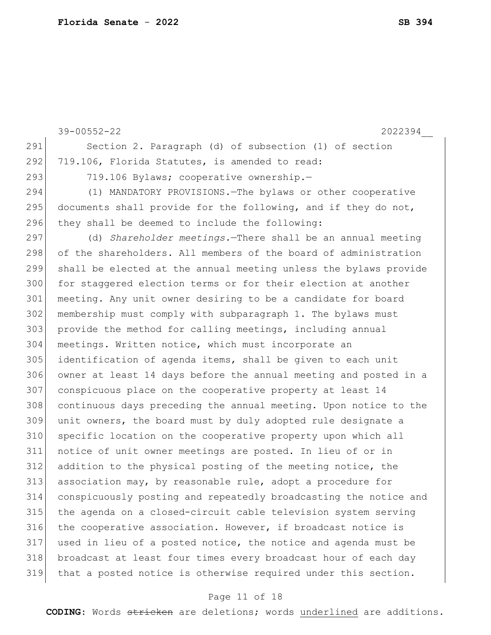|     | $39 - 00552 - 22$<br>2022394                                     |
|-----|------------------------------------------------------------------|
| 291 | Section 2. Paragraph (d) of subsection (1) of section            |
| 292 | 719.106, Florida Statutes, is amended to read:                   |
| 293 | 719.106 Bylaws; cooperative ownership.-                          |
| 294 | (1) MANDATORY PROVISIONS. The bylaws or other cooperative        |
| 295 | documents shall provide for the following, and if they do not,   |
| 296 | they shall be deemed to include the following:                   |
| 297 | (d) Shareholder meetings. There shall be an annual meeting       |
| 298 | of the shareholders. All members of the board of administration  |
| 299 | shall be elected at the annual meeting unless the bylaws provide |
| 300 | for staggered election terms or for their election at another    |
| 301 | meeting. Any unit owner desiring to be a candidate for board     |
| 302 | membership must comply with subparagraph 1. The bylaws must      |
| 303 | provide the method for calling meetings, including annual        |
| 304 | meetings. Written notice, which must incorporate an              |
| 305 | identification of agenda items, shall be given to each unit      |
| 306 | owner at least 14 days before the annual meeting and posted in a |
| 307 | conspicuous place on the cooperative property at least 14        |
| 308 | continuous days preceding the annual meeting. Upon notice to the |
| 309 | unit owners, the board must by duly adopted rule designate a     |
| 310 | specific location on the cooperative property upon which all     |
| 311 | notice of unit owner meetings are posted. In lieu of or in       |
| 312 | addition to the physical posting of the meeting notice, the      |
| 313 | association may, by reasonable rule, adopt a procedure for       |
| 314 | conspicuously posting and repeatedly broadcasting the notice and |
| 315 | the agenda on a closed-circuit cable television system serving   |
| 316 | the cooperative association. However, if broadcast notice is     |
| 317 | used in lieu of a posted notice, the notice and agenda must be   |
| 318 | broadcast at least four times every broadcast hour of each day   |
| 319 | that a posted notice is otherwise required under this section.   |
|     |                                                                  |

## Page 11 of 18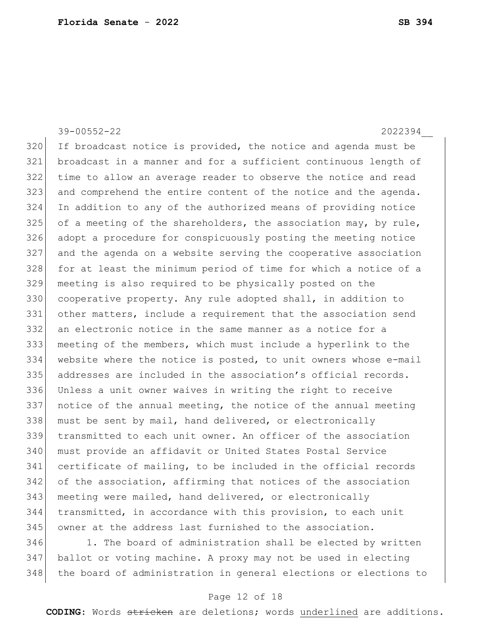39-00552-22 2022394\_\_ If broadcast notice is provided, the notice and agenda must be broadcast in a manner and for a sufficient continuous length of time to allow an average reader to observe the notice and read and comprehend the entire content of the notice and the agenda. In addition to any of the authorized means of providing notice of a meeting of the shareholders, the association may, by rule, adopt a procedure for conspicuously posting the meeting notice and the agenda on a website serving the cooperative association 328 for at least the minimum period of time for which a notice of a meeting is also required to be physically posted on the 330 cooperative property. Any rule adopted shall, in addition to other matters, include a requirement that the association send an electronic notice in the same manner as a notice for a meeting of the members, which must include a hyperlink to the 334 website where the notice is posted, to unit owners whose e-mail addresses are included in the association's official records. Unless a unit owner waives in writing the right to receive notice of the annual meeting, the notice of the annual meeting 338 must be sent by mail, hand delivered, or electronically transmitted to each unit owner. An officer of the association must provide an affidavit or United States Postal Service certificate of mailing, to be included in the official records of the association, affirming that notices of the association meeting were mailed, hand delivered, or electronically transmitted, in accordance with this provision, to each unit owner at the address last furnished to the association. 346 1. The board of administration shall be elected by written

 ballot or voting machine. A proxy may not be used in electing 348 the board of administration in general elections or elections to

#### Page 12 of 18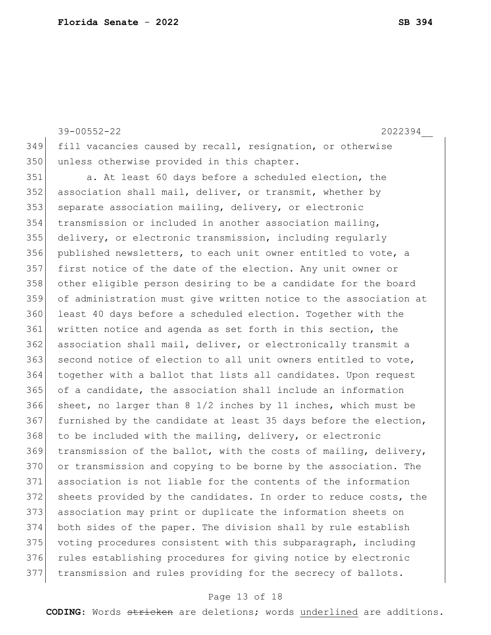39-00552-22 2022394\_\_ fill vacancies caused by recall, resignation, or otherwise 350 unless otherwise provided in this chapter.

 a. At least 60 days before a scheduled election, the association shall mail, deliver, or transmit, whether by 353 separate association mailing, delivery, or electronic transmission or included in another association mailing, delivery, or electronic transmission, including regularly published newsletters, to each unit owner entitled to vote, a first notice of the date of the election. Any unit owner or other eligible person desiring to be a candidate for the board of administration must give written notice to the association at least 40 days before a scheduled election. Together with the written notice and agenda as set forth in this section, the association shall mail, deliver, or electronically transmit a 363 second notice of election to all unit owners entitled to vote, together with a ballot that lists all candidates. Upon request of a candidate, the association shall include an information sheet, no larger than 8 1/2 inches by 11 inches, which must be furnished by the candidate at least 35 days before the election, to be included with the mailing, delivery, or electronic transmission of the ballot, with the costs of mailing, delivery, or transmission and copying to be borne by the association. The association is not liable for the contents of the information sheets provided by the candidates. In order to reduce costs, the association may print or duplicate the information sheets on both sides of the paper. The division shall by rule establish voting procedures consistent with this subparagraph, including 376 rules establishing procedures for giving notice by electronic 377 transmission and rules providing for the secrecy of ballots.

#### Page 13 of 18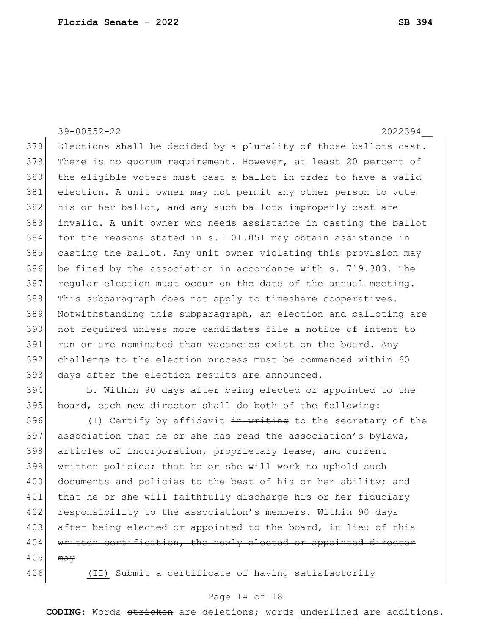39-00552-22 2022394\_\_ 378 Elections shall be decided by a plurality of those ballots cast. 379 There is no quorum requirement. However, at least 20 percent of 380 the eligible voters must cast a ballot in order to have a valid 381 election. A unit owner may not permit any other person to vote 382 his or her ballot, and any such ballots improperly cast are 383 invalid. A unit owner who needs assistance in casting the ballot 384 for the reasons stated in s. 101.051 may obtain assistance in 385 casting the ballot. Any unit owner violating this provision may 386 be fined by the association in accordance with s. 719.303. The 387 regular election must occur on the date of the annual meeting. 388 This subparagraph does not apply to timeshare cooperatives. 389 Notwithstanding this subparagraph, an election and balloting are 390 not required unless more candidates file a notice of intent to 391 run or are nominated than vacancies exist on the board. Any 392 challenge to the election process must be commenced within 60 393 days after the election results are announced.

394 b. Within 90 days after being elected or appointed to the 395 board, each new director shall do both of the following:

396 (I) Certify by affidavit in writing to the secretary of the 397 association that he or she has read the association's bylaws, 398 articles of incorporation, proprietary lease, and current 399 written policies; that he or she will work to uphold such 400 documents and policies to the best of his or her ability; and 401 that he or she will faithfully discharge his or her fiduciary 402 responsibility to the association's members. Within 90 days 403 after being elected or appointed to the board, in lieu of this 404 written certification, the newly elected or appointed director  $405$  may

406 (II) Submit a certificate of having satisfactorily

#### Page 14 of 18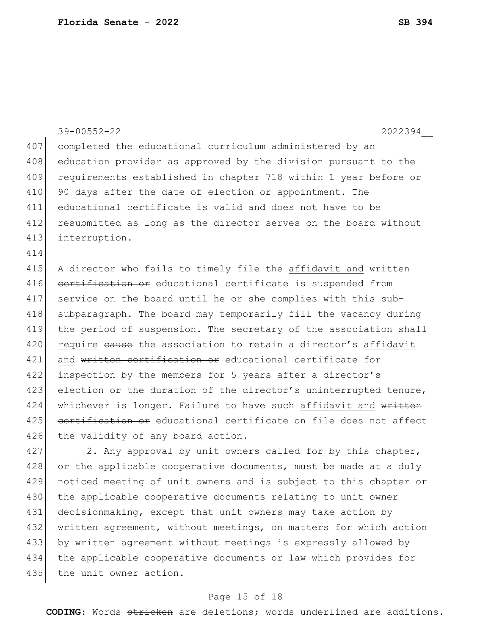|     | $39 - 00552 - 22$<br>2022394                                     |
|-----|------------------------------------------------------------------|
| 407 | completed the educational curriculum administered by an          |
| 408 | education provider as approved by the division pursuant to the   |
| 409 | requirements established in chapter 718 within 1 year before or  |
| 410 | 90 days after the date of election or appointment. The           |
| 411 | educational certificate is valid and does not have to be         |
| 412 | resubmitted as long as the director serves on the board without  |
| 413 | interruption.                                                    |
| 414 |                                                                  |
| 415 | A director who fails to timely file the affidavit and written    |
| 416 | eertification or educational certificate is suspended from       |
| 417 | service on the board until he or she complies with this sub-     |
| 418 | subparagraph. The board may temporarily fill the vacancy during  |
| 419 | the period of suspension. The secretary of the association shall |
| 420 | require eause the association to retain a director's affidavit   |
| 421 | and written certification or educational certificate for         |
| 422 | inspection by the members for 5 years after a director's         |
| 423 | election or the duration of the director's uninterrupted tenure, |
| 424 | whichever is longer. Failure to have such affidavit and written  |
| 425 | eertification or educational certificate on file does not affect |
| 426 | the validity of any board action.                                |
| 427 | 2. Any approval by unit owners called for by this chapter,       |
| 428 | or the applicable cooperative documents, must be made at a duly  |
| 429 | noticed meeting of unit owners and is subject to this chapter or |
| 430 | the applicable cooperative documents relating to unit owner      |
| 431 | decisionmaking, except that unit owners may take action by       |
| 432 | written agreement, without meetings, on matters for which action |
| 433 | by written agreement without meetings is expressly allowed by    |
| 434 | the applicable cooperative documents or law which provides for   |

## 435 the unit owner action.

## Page 15 of 18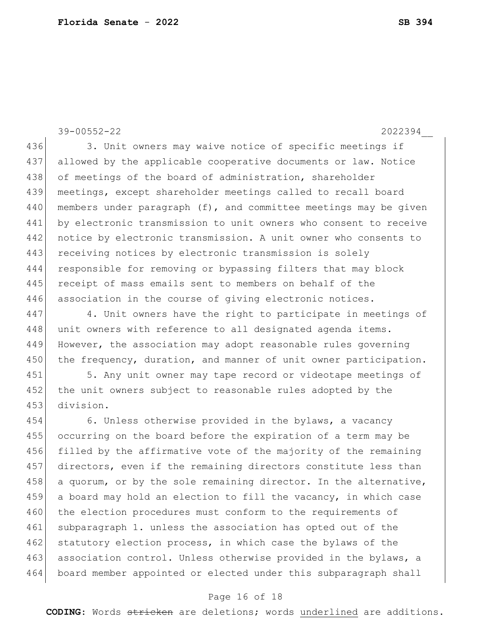39-00552-22 2022394\_\_ 436 3. Unit owners may waive notice of specific meetings if 437 allowed by the applicable cooperative documents or law. Notice 438 of meetings of the board of administration, shareholder 439 meetings, except shareholder meetings called to recall board 440 | members under paragraph (f), and committee meetings may be given 441 by electronic transmission to unit owners who consent to receive 442 notice by electronic transmission. A unit owner who consents to 443 receiving notices by electronic transmission is solely 444 responsible for removing or bypassing filters that may block 445 receipt of mass emails sent to members on behalf of the 446 association in the course of giving electronic notices.

447 4. Unit owners have the right to participate in meetings of 448 unit owners with reference to all designated agenda items. 449 However, the association may adopt reasonable rules governing 450 the frequency, duration, and manner of unit owner participation.

451 5. Any unit owner may tape record or videotape meetings of 452 the unit owners subject to reasonable rules adopted by the 453 division.

454 6. Unless otherwise provided in the bylaws, a vacancy 455 occurring on the board before the expiration of a term may be 456 filled by the affirmative vote of the majority of the remaining 457 directors, even if the remaining directors constitute less than 458 a quorum, or by the sole remaining director. In the alternative, 459 a board may hold an election to fill the vacancy, in which case 460 the election procedures must conform to the requirements of 461 subparagraph 1. unless the association has opted out of the 462 statutory election process, in which case the bylaws of the 463 association control. Unless otherwise provided in the bylaws, a 464 board member appointed or elected under this subparagraph shall

#### Page 16 of 18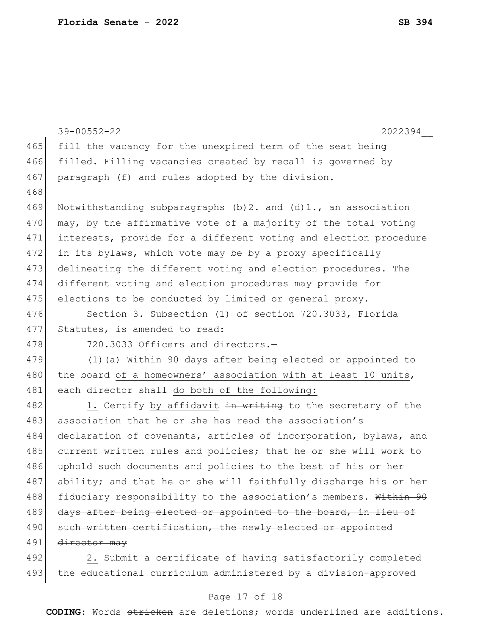|     | $39 - 00552 - 22$<br>2022394                                        |
|-----|---------------------------------------------------------------------|
| 465 | fill the vacancy for the unexpired term of the seat being           |
| 466 | filled. Filling vacancies created by recall is governed by          |
| 467 | paragraph (f) and rules adopted by the division.                    |
| 468 |                                                                     |
| 469 | Notwithstanding subparagraphs $(b)$ 2. and $(d)$ 1., an association |
| 470 | may, by the affirmative vote of a majority of the total voting      |
| 471 | interests, provide for a different voting and election procedure    |
| 472 | in its bylaws, which vote may be by a proxy specifically            |
| 473 | delineating the different voting and election procedures. The       |
| 474 | different voting and election procedures may provide for            |
| 475 | elections to be conducted by limited or general proxy.              |
| 476 | Section 3. Subsection (1) of section 720.3033, Florida              |
| 477 | Statutes, is amended to read:                                       |
| 478 | 720.3033 Officers and directors.-                                   |
| 479 | (1) (a) Within 90 days after being elected or appointed to          |
| 480 | the board of a homeowners' association with at least 10 units,      |
| 481 | each director shall do both of the following:                       |
| 482 | 1. Certify by affidavit in writing to the secretary of the          |
| 483 | association that he or she has read the association's               |
| 484 | declaration of covenants, articles of incorporation, bylaws, and    |
| 485 | current written rules and policies; that he or she will work to     |
| 486 | uphold such documents and policies to the best of his or her        |
| 487 | ability; and that he or she will faithfully discharge his or her    |
| 488 | fiduciary responsibility to the association's members. Within 90    |
| 489 | days after being elected or appointed to the board, in lieu of      |
| 490 | such written certification, the newly elected or appointed          |
| 491 | director may                                                        |
| 492 | 2. Submit a certificate of having satisfactorily completed          |
| 493 | the educational curriculum administered by a division-approved      |

## Page 17 of 18